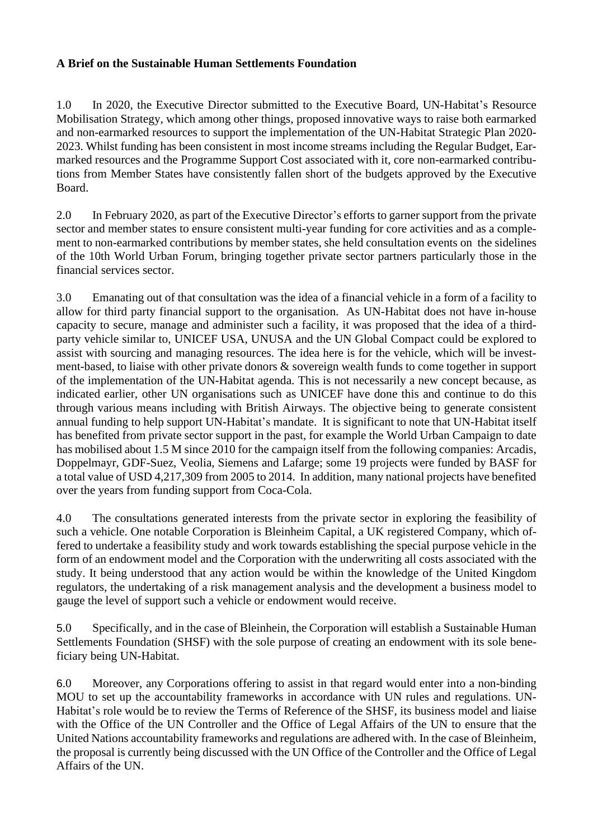## **A Brief on the Sustainable Human Settlements Foundation**

1.0 In 2020, the Executive Director submitted to the Executive Board, UN-Habitat's Resource Mobilisation Strategy, which among other things, proposed innovative ways to raise both earmarked and non-earmarked resources to support the implementation of the UN-Habitat Strategic Plan 2020- 2023. Whilst funding has been consistent in most income streams including the Regular Budget, Earmarked resources and the Programme Support Cost associated with it, core non-earmarked contributions from Member States have consistently fallen short of the budgets approved by the Executive Board.

2.0 In February 2020, as part of the Executive Director's efforts to garner support from the private sector and member states to ensure consistent multi-year funding for core activities and as a complement to non-earmarked contributions by member states, she held consultation events on the sidelines of the 10th World Urban Forum, bringing together private sector partners particularly those in the financial services sector.

3.0 Emanating out of that consultation was the idea of a financial vehicle in a form of a facility to allow for third party financial support to the organisation. As UN-Habitat does not have in-house capacity to secure, manage and administer such a facility, it was proposed that the idea of a thirdparty vehicle similar to, UNICEF USA, UNUSA and the UN Global Compact could be explored to assist with sourcing and managing resources. The idea here is for the vehicle, which will be investment-based, to liaise with other private donors & sovereign wealth funds to come together in support of the implementation of the UN-Habitat agenda. This is not necessarily a new concept because, as indicated earlier, other UN organisations such as UNICEF have done this and continue to do this through various means including with British Airways. The objective being to generate consistent annual funding to help support UN-Habitat's mandate. It is significant to note that UN-Habitat itself has benefited from private sector support in the past, for example the World Urban Campaign to date has mobilised about 1.5 M since 2010 for the campaign itself from the following companies: Arcadis, Doppelmayr, GDF-Suez, Veolia, Siemens and Lafarge; some 19 projects were funded by BASF for a total value of USD 4,217,309 from 2005 to 2014. In addition, many national projects have benefited over the years from funding support from Coca-Cola.

4.0 The consultations generated interests from the private sector in exploring the feasibility of such a vehicle. One notable Corporation is Bleinheim Capital, a UK registered Company, which offered to undertake a feasibility study and work towards establishing the special purpose vehicle in the form of an endowment model and the Corporation with the underwriting all costs associated with the study. It being understood that any action would be within the knowledge of the United Kingdom regulators, the undertaking of a risk management analysis and the development a business model to gauge the level of support such a vehicle or endowment would receive.

5.0 Specifically, and in the case of Bleinhein, the Corporation will establish a Sustainable Human Settlements Foundation (SHSF) with the sole purpose of creating an endowment with its sole beneficiary being UN-Habitat.

6.0 Moreover, any Corporations offering to assist in that regard would enter into a non-binding MOU to set up the accountability frameworks in accordance with UN rules and regulations. UN-Habitat's role would be to review the Terms of Reference of the SHSF, its business model and liaise with the Office of the UN Controller and the Office of Legal Affairs of the UN to ensure that the United Nations accountability frameworks and regulations are adhered with. In the case of Bleinheim, the proposal is currently being discussed with the UN Office of the Controller and the Office of Legal Affairs of the UN.